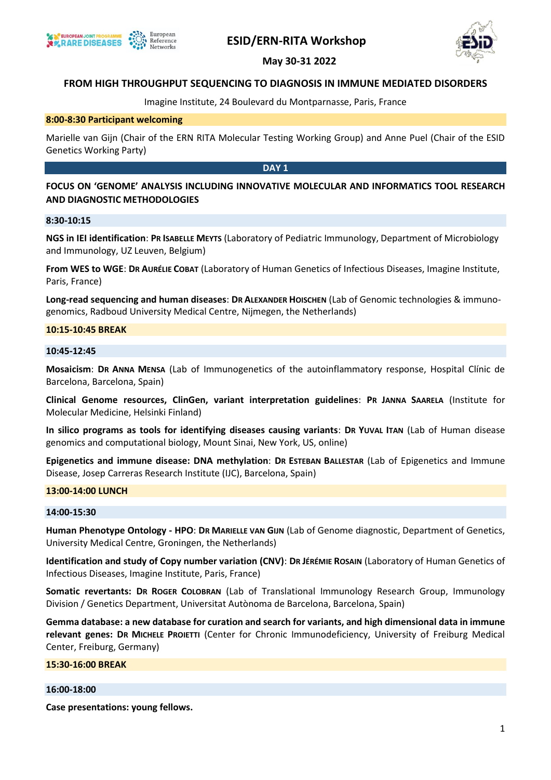

# **ESID/ERN-RITA Workshop**





# **FROM HIGH THROUGHPUT SEQUENCING TO DIAGNOSIS IN IMMUNE MEDIATED DISORDERS**

Imagine Institute, 24 Boulevard du Montparnasse, Paris, France

## **8:00-8:30 Participant welcoming**

Marielle van Gijn (Chair of the ERN RITA Molecular Testing Working Group) and Anne Puel (Chair of the ESID Genetics Working Party)

## **DAY 1**

# **FOCUS ON 'GENOME' ANALYSIS INCLUDING INNOVATIVE MOLECULAR AND INFORMATICS TOOL RESEARCH AND DIAGNOSTIC METHODOLOGIES**

## **8:30-10:15**

**NGS in IEI identification**: **PR ISABELLE MEYTS** (Laboratory of Pediatric Immunology, Department of Microbiology and Immunology, UZ Leuven, Belgium)

**From WES to WGE**: **DR AURÉLIE COBAT** (Laboratory of Human Genetics of Infectious Diseases, Imagine Institute, Paris, France)

**Long-read sequencing and human diseases**: **DR ALEXANDER HOISCHEN** (Lab of Genomic technologies & immunogenomics, Radboud University Medical Centre, Nijmegen, the Netherlands)

#### **10:15-10:45 BREAK**

# **10:45-12:45**

**Mosaicism**: **DR ANNA MENSA** (Lab of Immunogenetics of the autoinflammatory response, Hospital Clínic de Barcelona, Barcelona, Spain)

**Clinical Genome resources, ClinGen, variant interpretation guidelines**: **PR JANNA SAARELA** (Institute for Molecular Medicine, Helsinki Finland)

**In silico programs as tools for identifying diseases causing variants**: **DR YUVAL ITAN** (Lab of Human disease genomics and computational biology, Mount Sinai, New York, US, online)

**Epigenetics and immune disease: DNA methylation**: **DR ESTEBAN BALLESTAR** (Lab of Epigenetics and Immune Disease, Josep Carreras Research Institute (IJC), Barcelona, Spain)

## **13:00-14:00 LUNCH**

### **14:00-15:30**

**Human Phenotype Ontology - HPO**: **DR MARIELLE VAN GIJN** (Lab of Genome diagnostic, Department of Genetics, University Medical Centre, Groningen, the Netherlands)

**Identification and study of Copy number variation (CNV)**: **DR JÉRÉMIE ROSAIN** (Laboratory of Human Genetics of Infectious Diseases, Imagine Institute, Paris, France)

**Somatic revertants: DR ROGER COLOBRAN** (Lab of Translational Immunology Research Group, Immunology Division / Genetics Department, Universitat Autònoma de Barcelona, Barcelona, Spain)

**Gemma database: a new database for curation and search for variants, and high dimensional data in immune relevant genes: DR MICHELE PROIETTI** (Center for Chronic Immunodeficiency, University of Freiburg Medical Center, Freiburg, Germany)

#### **15:30-16:00 BREAK**

#### **16:00-18:00**

**Case presentations: young fellows.**